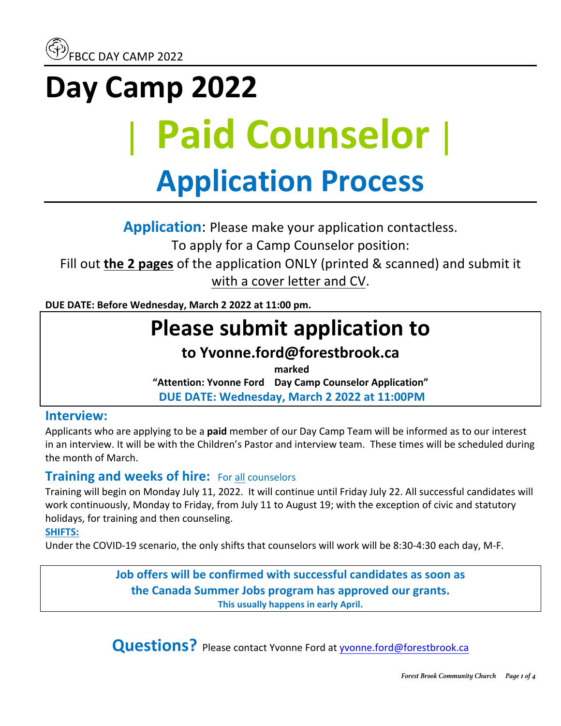# **Day Camp 2022** | **Paid Counselor**| **Application Process**

**Application:** Please make your application contactless.

To apply for a Camp Counselor position:

Fill out **the 2 pages** of the application ONLY (printed & scanned) and submit it with a cover letter and CV.

**DUE DATE: Before Wednesday, March 2 2022 at 11:00 pm.** 

## **Please submit application to**

## **to Yvonne.ford@forestbrook.ca**

**marked** 

**"Attention: Yvonne Ford Day Camp Counselor Application" DUE DATE: Wednesday, March 2 2022 at 11:00PM**

#### **Interview:**

Applicants who are applying to be a **paid** member of our Day Camp Team will be informed as to our interest in an interview. It will be with the Children's Pastor and interview team. These times will be scheduled during the month of March.

### **Training and weeks of hire:** For all counselors

Training will begin on Monday July 11, 2022. It will continue until Friday July 22. All successful candidates will work continuously, Monday to Friday, from July 11 to August 19; with the exception of civic and statutory holidays, for training and then counseling.

#### **SHIFTS:**

Under the COVID-19 scenario, the only shifts that counselors will work will be 8:30-4:30 each day, M-F.

**Job offers will be confirmed with successful candidates as soon as the Canada Summer Jobs program has approved our grants.** This usually happens in early April.

**Questions?** Please contact Yvonne Ford at **yvonne.ford@forestbrook.ca**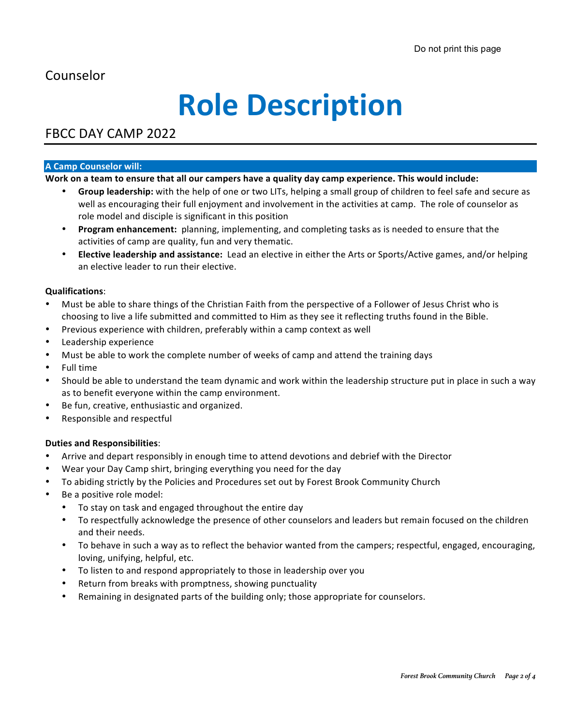### Counselor

## **Role Description**

### FBCC DAY CAMP 2022

#### **A Camp Counselor will:**

#### Work on a team to ensure that all our campers have a quality day camp experience. This would include:

- Group leadership: with the help of one or two LITs, helping a small group of children to feel safe and secure as well as encouraging their full enjoyment and involvement in the activities at camp. The role of counselor as role model and disciple is significant in this position
- **Program enhancement:** planning, implementing, and completing tasks as is needed to ensure that the activities of camp are quality, fun and very thematic.
- **Elective leadership and assistance:** Lead an elective in either the Arts or Sports/Active games, and/or helping an elective leader to run their elective.

#### **Qualifications**:

- Must be able to share things of the Christian Faith from the perspective of a Follower of Jesus Christ who is choosing to live a life submitted and committed to Him as they see it reflecting truths found in the Bible.
- Previous experience with children, preferably within a camp context as well
- Leadership experience
- Must be able to work the complete number of weeks of camp and attend the training days
- Full time
- Should be able to understand the team dynamic and work within the leadership structure put in place in such a way as to benefit everyone within the camp environment.
- Be fun, creative, enthusiastic and organized.
- Responsible and respectful

#### **Duties and Responsibilities**:

- Arrive and depart responsibly in enough time to attend devotions and debrief with the Director
- Wear your Day Camp shirt, bringing everything you need for the day
- To abiding strictly by the Policies and Procedures set out by Forest Brook Community Church
- Be a positive role model:
	- To stay on task and engaged throughout the entire day
	- To respectfully acknowledge the presence of other counselors and leaders but remain focused on the children and their needs.
	- To behave in such a way as to reflect the behavior wanted from the campers; respectful, engaged, encouraging, loving, unifying, helpful, etc.
	- To listen to and respond appropriately to those in leadership over you
	- Return from breaks with promptness, showing punctuality
	- Remaining in designated parts of the building only; those appropriate for counselors.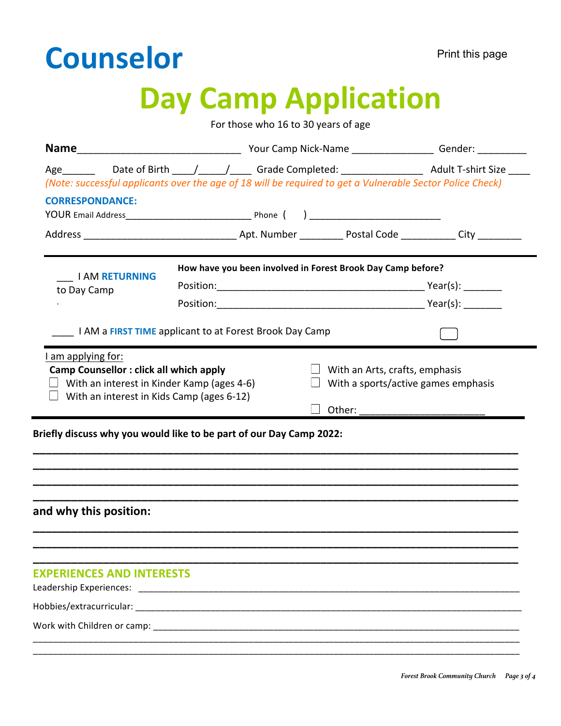## **Counselor**

## **Day Camp Application**

For those who 16 to 30 years of age

|                                  | Age _________ Date of Birth ____/_____/______ Grade Completed: _______________________ Adult T-shirt Size ____ |  |  |
|----------------------------------|----------------------------------------------------------------------------------------------------------------|--|--|
|                                  | (Note: successful applicants over the age of 18 will be required to get a Vulnerable Sector Police Check)      |  |  |
| <b>CORRESPONDANCE:</b>           |                                                                                                                |  |  |
|                                  |                                                                                                                |  |  |
| <b>I AM RETURNING</b>            | How have you been involved in Forest Brook Day Camp before?                                                    |  |  |
| to Day Camp                      |                                                                                                                |  |  |
|                                  |                                                                                                                |  |  |
|                                  | I AM a FIRST TIME applicant to at Forest Brook Day Camp                                                        |  |  |
|                                  | Other:                                                                                                         |  |  |
|                                  | Briefly discuss why you would like to be part of our Day Camp 2022:                                            |  |  |
| and why this position:           |                                                                                                                |  |  |
| <b>EXPERIENCES AND INTERESTS</b> |                                                                                                                |  |  |
|                                  |                                                                                                                |  |  |